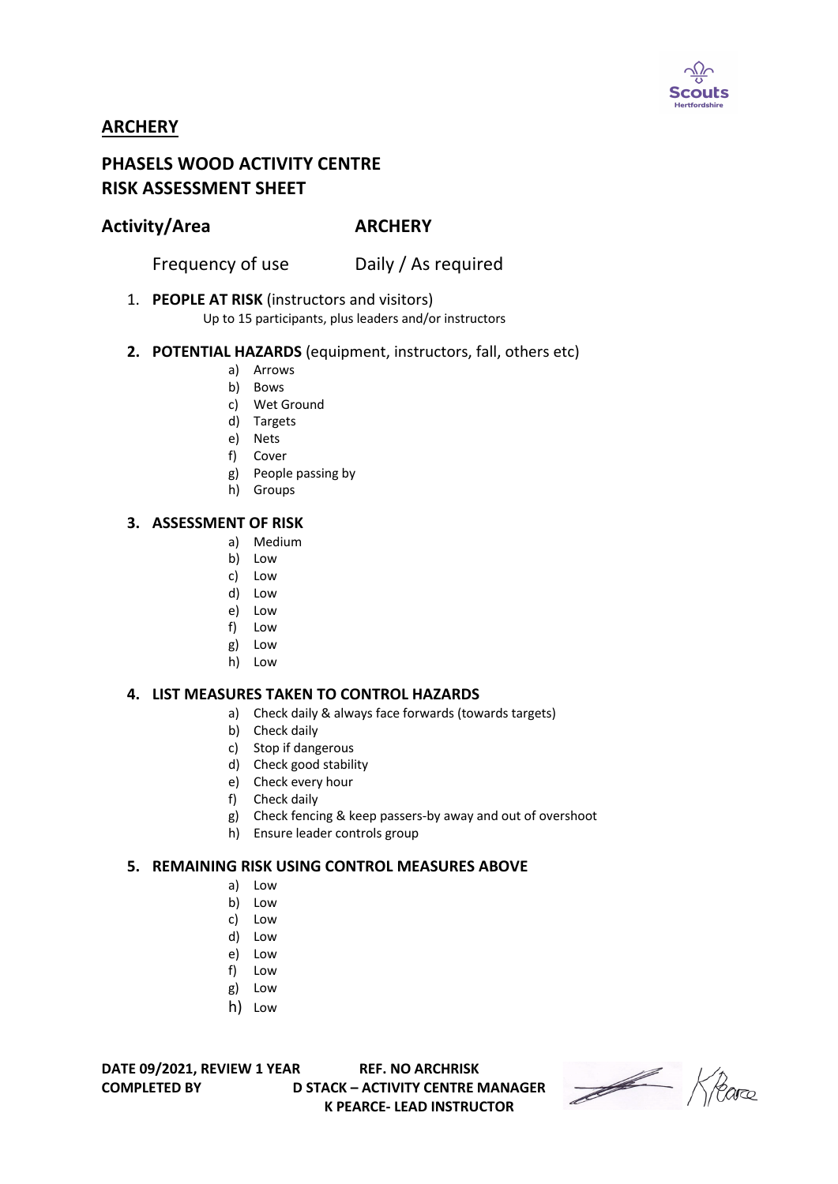

## **ARCHERY**

# **PHASELS WOOD ACTIVITY CENTRE RISK ASSESSMENT SHEET**

### **Activity/Area ARCHERY**

Frequency of use Daily / As required

1. **PEOPLE AT RISK** (instructors and visitors)

Up to 15 participants, plus leaders and/or instructors

#### **2. POTENTIAL HAZARDS** (equipment, instructors, fall, others etc)

- a) Arrows
- b) Bows
- c) Wet Ground
- d) Targets
- e) Nets
- f) Cover
- g) People passing by
- h) Groups

#### **3. ASSESSMENT OF RISK**

- a) Medium
- b) Low
- c) Low
- d) Low
- e) Low
- f) Low
- g) Low
- h) Low

#### **4. LIST MEASURES TAKEN TO CONTROL HAZARDS**

- a) Check daily & always face forwards (towards targets)
- b) Check daily
- c) Stop if dangerous
- d) Check good stability
- e) Check every hour
- f) Check daily
- g) Check fencing & keep passers-by away and out of overshoot
- h) Ensure leader controls group

#### **5. REMAINING RISK USING CONTROL MEASURES ABOVE**

- a) Low
- b) Low
- c) Low
- d) Low
- e) Low
- f) Low
- g) Low
- h) Low

**DATE 09/2021, REVIEW 1 YEAR REF. NO ARCHRISK**

**COMPLETED BY D STACK – ACTIVITY CENTRE MANAGER K PEARCE- LEAD INSTRUCTOR**

Heare